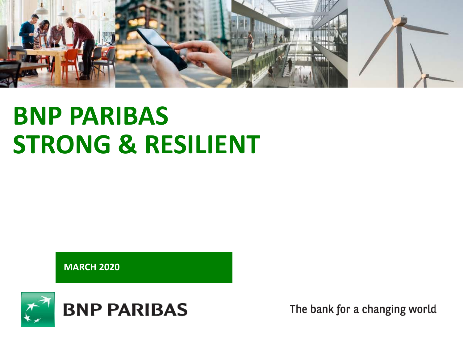

# **BNP PARIBAS STRONG & RESILIENT**

**MARCH 2020**

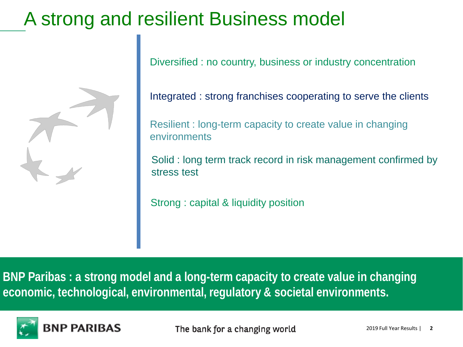## A strong and resilient Business model



Diversified : no country, business or industry concentration

Integrated : strong franchises cooperating to serve the clients

Resilient : long-term capacity to create value in changing environments

Solid : long term track record in risk management confirmed by stress test

Strong : capital & liquidity position

**BNP Paribas : a strong model and a long-term capacity to create value in changing economic, technological, environmental, regulatory & societal environments.**

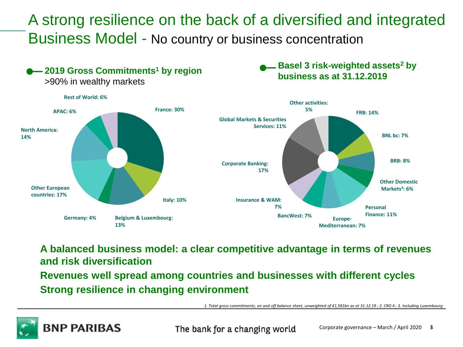A strong resilience on the back of a diversified and integrated Business Model - No country or business concentration



**A balanced business model: a clear competitive advantage in terms of revenues and risk diversification**

**Revenues well spread among countries and businesses with different cycles Strong resilience in changing environment**

*1. Total gross commitments, on and off balance sheet, unweighted of €1,581bn as at 31.12.19 ; 2. CRD 4 ; 3. Including Luxembourg*

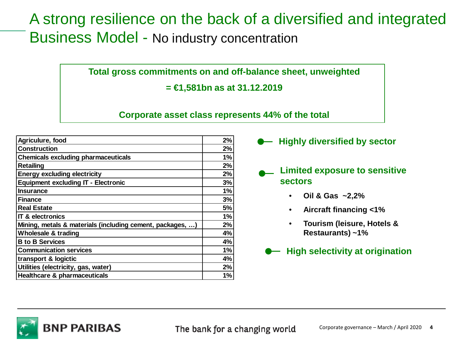### A strong resilience on the back of a diversified and integrated Business Model - No industry concentration

**Total gross commitments on and off-balance sheet, unweighted**

**= €1,581bn as at 31.12.2019** 

**Corporate asset class represents 44% of the total**

| Agriculure, food                                          | 2% |
|-----------------------------------------------------------|----|
| <b>Construction</b>                                       | 2% |
| <b>Chemicals excluding pharmaceuticals</b>                | 1% |
| <b>Retailing</b>                                          | 2% |
| <b>Energy excluding electricity</b>                       | 2% |
| <b>Equipment excluding IT - Electronic</b>                | 3% |
| <b>Insurance</b>                                          | 1% |
| <b>Finance</b>                                            | 3% |
| <b>Real Estate</b>                                        | 5% |
| <b>IT &amp; electronics</b>                               | 1% |
| Mining, metals & materials (including cement, packages, ) | 2% |
| Wholesale & trading                                       | 4% |
| <b>B</b> to <b>B</b> Services                             | 4% |
| <b>Communication services</b>                             | 1% |
| transport & logictic                                      | 4% |
| Utilities (electricity, gas, water)                       | 2% |
| <b>Healthcare &amp; pharmaceuticals</b>                   | 1% |
|                                                           |    |

**Highly diversified by sector**

- **Limited exposure to sensitive sectors**
	- **Oil & Gas ~2,2%**
	- **Aircraft financing <1%**
	- **Tourism (leisure, Hotels & Restaurants) ~1%**
	- **High selectivity at origination**

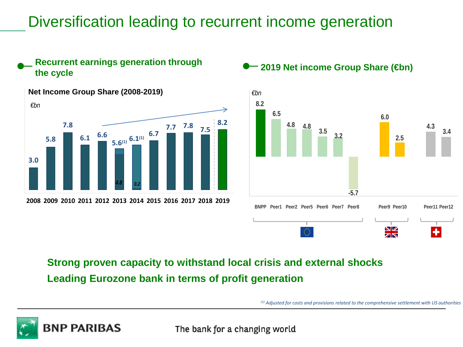### Diversification leading to recurrent income generation



#### **Recurrent earnings generation through the cycle** carrings generation through **1.2019** Net income Group Share (**⊕n**)



#### **Strong proven capacity to withstand local crisis and external shocks Leading Eurozone bank in terms of profit generation**

*(1) Adjusted for costs and provisions related to the comprehensive settlement with US authorities*

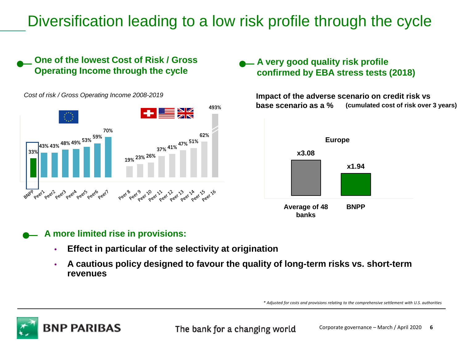### Diversification leading to a low risk profile through the cycle

#### **One of the lowest Cost of Risk / Gross Operating Income through the cycle**

*Cost of risk / Gross Operating Income 2008-2019*



#### **A** very good quality risk profile **confirmed by EBA stress tests (2018)**

**Impact of the adverse scenario on credit risk vs base scenario as a % (cumulated cost of risk over 3 years)** 



#### **A more limited rise in provisions:**

- **Effect in particular of the selectivity at origination**
- **A cautious policy designed to favour the quality of long-term risks vs. short-term revenues**

*\* Adjusted for costs and provisions relating to the comprehensive settlement with U.S. authorities* 

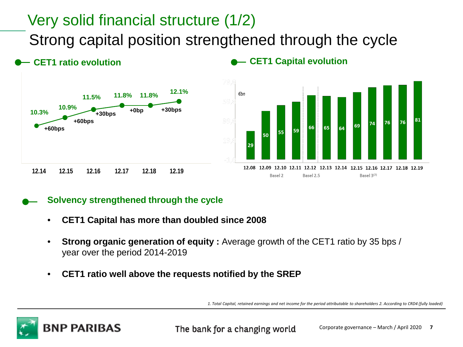### Very solid financial structure (1/2)

Strong capital position strengthened through the cycle



**CET1 ratio evolution**

#### **CET1 Capital evolution**



#### **Solvency strengthened through the cycle**

- **CET1 Capital has more than doubled since 2008**
- **Strong organic generation of equity :** Average growth of the CET1 ratio by 35 bps / year over the period 2014-2019
- **CET1 ratio well above the requests notified by the SREP**

*1. Total Capital, retained earnings and net income for the period attributable to shareholders 2. According to CRD4 (fully loaded)*